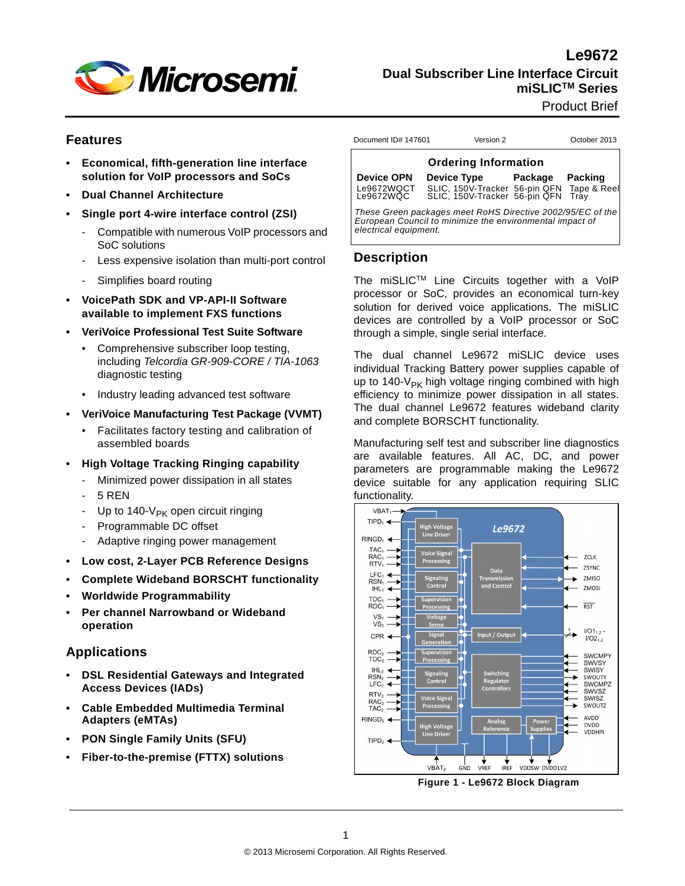

**Le9672 Dual Subscriber Line Interface Circuit miSLICTM Series**

Product Brief

#### **Features**

- **Economical, fifth-generation line interface solution for VoIP processors and SoCs**
- **Dual Channel Architecture**
- **Single port 4-wire interface control (ZSI)**
	- Compatible with numerous VoIP processors and SoC solutions
	- Less expensive isolation than multi-port control
	- Simplifies board routing
- **VoicePath SDK and VP-API-II Software available to implement FXS functions**
- **VeriVoice Professional Test Suite Software** 
	- Comprehensive subscriber loop testing, including *Telcordia GR-909-CORE / TIA-1063*  diagnostic testing
	- Industry leading advanced test software
- **VeriVoice Manufacturing Test Package (VVMT)**
	- Facilitates factory testing and calibration of assembled boards
- **High Voltage Tracking Ringing capability**
	- Minimized power dissipation in all states
	- 5 RFN
	- Up to 140- $V_{PK}$  open circuit ringing
	- Programmable DC offset
	- Adaptive ringing power management
- **Low cost, 2-Layer PCB Reference Designs**
- **Complete Wideband BORSCHT functionality**
- **Worldwide Programmability**
- **Per channel Narrowband or Wideband operation**

## **Applications**

- **DSL Residential Gateways and Integrated Access Devices (IADs)**
- **Cable Embedded Multimedia Terminal Adapters (eMTAs)**
- **PON Single Family Units (SFU)**
- **Fiber-to-the-premise (FTTX) solutions**

| <b>Ordering Information</b>             |                                                                                 |                 |  |  |  |  |  |  |  |
|-----------------------------------------|---------------------------------------------------------------------------------|-----------------|--|--|--|--|--|--|--|
| <b>Device OPN</b><br><b>Device Type</b> |                                                                                 | Package Packing |  |  |  |  |  |  |  |
| Le9672WQCT<br>Le9672WQC                 | SLIC, 150V-Tracker 56-pin QFN Tape & Reel<br>SLIC, 150V-Tracker 56-pin QFN Tray |                 |  |  |  |  |  |  |  |

Document ID# 147601 Version 2 October 2013

*These Green packages meet RoHS Directive 2002/95/EC of the European Council to minimize the environmental impact of electrical equipment.*

#### **Description**

The miSLICTM Line Circuits together with a VoIP processor or SoC, provides an economical turn-key solution for derived voice applications. The miSLIC devices are controlled by a VoIP processor or SoC through a simple, single serial interface.

The dual channel Le9672 miSLIC device uses individual Tracking Battery power supplies capable of up to 140- $V_{PK}$  high voltage ringing combined with high efficiency to minimize power dissipation in all states. The dual channel Le9672 features wideband clarity and complete BORSCHT functionality.

Manufacturing self test and subscriber line diagnostics are available features. All AC, DC, and power parameters are programmable making the Le9672 device suitable for any application requiring SLIC functionality.



**Figure 1 - Le9672 Block Diagram**